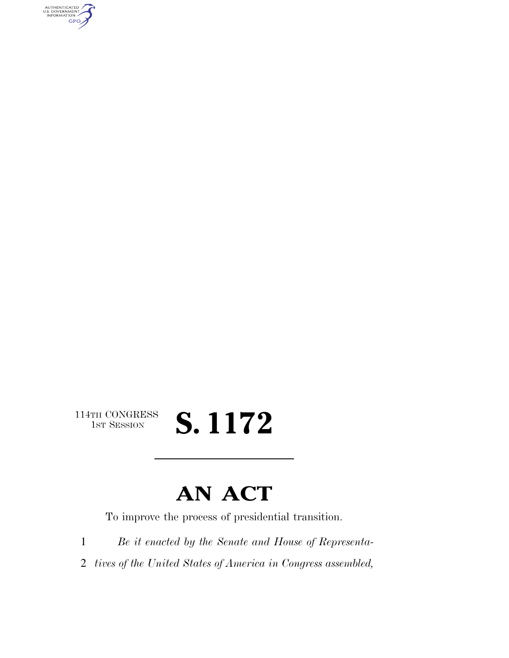AUTHENTICATED<br>U.S. GOVERNMENT<br>INFORMATION **GPO** 

> 114TH CONGRESS<br>1st Session **S. 1172**

## **AN ACT**

To improve the process of presidential transition.

1 *Be it enacted by the Senate and House of Representa-*

2 *tives of the United States of America in Congress assembled,*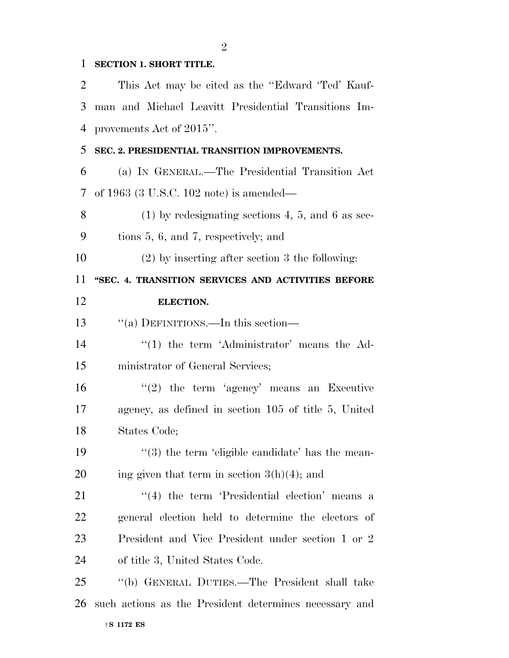## **SECTION 1. SHORT TITLE.**

 This Act may be cited as the ''Edward 'Ted' Kauf- man and Michael Leavitt Presidential Transitions Im- provements Act of 2015''. **SEC. 2. PRESIDENTIAL TRANSITION IMPROVEMENTS.**  (a) IN GENERAL.—The Presidential Transition Act of 1963 (3 U.S.C. 102 note) is amended— (1) by redesignating sections 4, 5, and 6 as sec- tions 5, 6, and 7, respectively; and (2) by inserting after section 3 the following: **''SEC. 4. TRANSITION SERVICES AND ACTIVITIES BEFORE ELECTION.**  13 "(a) DEFINITIONS.—In this section— 14 ''(1) the term 'Administrator' means the Ad- ministrator of General Services; ''(2) the term 'agency' means an Executive agency, as defined in section 105 of title 5, United States Code;  $\frac{1}{3}$  the term 'eligible candidate' has the mean-20 ing given that term in section  $3(h)(4)$ ; and ''(4) the term 'Presidential election' means a general election held to determine the electors of President and Vice President under section 1 or 2 of title 3, United States Code. ''(b) GENERAL DUTIES.—The President shall take such actions as the President determines necessary and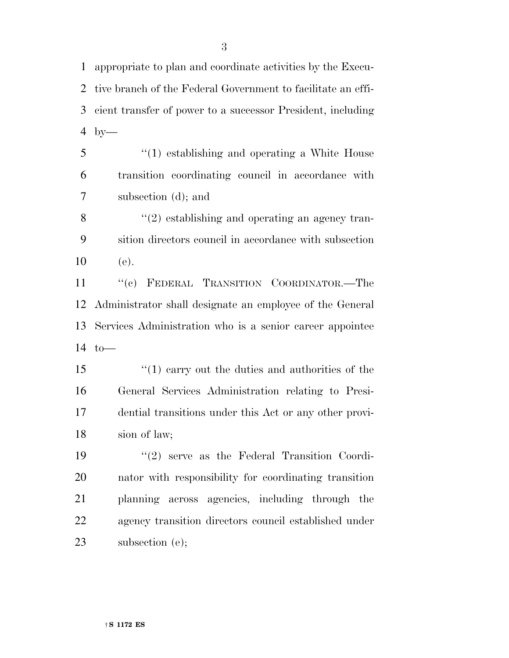appropriate to plan and coordinate activities by the Execu- tive branch of the Federal Government to facilitate an effi- cient transfer of power to a successor President, including by—

 ''(1) establishing and operating a White House transition coordinating council in accordance with subsection (d); and

 $\mathcal{S}$  ''(2) establishing and operating an agency tran- sition directors council in accordance with subsection (e).

 ''(c) FEDERAL TRANSITION COORDINATOR.—The Administrator shall designate an employee of the General Services Administration who is a senior career appointee to—

 ''(1) carry out the duties and authorities of the General Services Administration relating to Presi- dential transitions under this Act or any other provi-sion of law;

 ''(2) serve as the Federal Transition Coordi- nator with responsibility for coordinating transition planning across agencies, including through the agency transition directors council established under 23 subsection (e);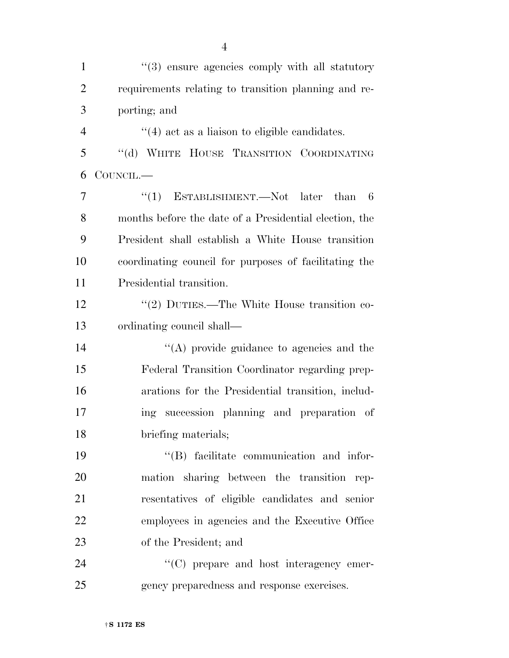| $\mathbf{1}$   | "(3) ensure agencies comply with all statutory         |
|----------------|--------------------------------------------------------|
| $\overline{2}$ | requirements relating to transition planning and re-   |
| 3              | porting; and                                           |
| $\overline{4}$ | $\cdot$ (4) act as a liaison to eligible candidates.   |
| 5              | "(d) WHITE HOUSE TRANSITION COORDINATING               |
| 6              | COUNCIL.—                                              |
| 7              | ESTABLISHMENT.—Not later<br>``(1)<br>than<br>6         |
| 8              | months before the date of a Presidential election, the |
| 9              | President shall establish a White House transition     |
| 10             | coordinating council for purposes of facilitating the  |
| 11             | Presidential transition.                               |
| 12             | "(2) DUTIES.—The White House transition co-            |
| 13             | ordinating council shall—                              |
| 14             | $\lq\lq$ provide guidance to agencies and the          |
| 15             | Federal Transition Coordinator regarding prep-         |
| 16             | arations for the Presidential transition, includ-      |
| 17             | ing succession planning and preparation of             |
| 18             | briefing materials;                                    |
| 19             | "(B) facilitate communication and infor-               |
| 20             | mation sharing between the transition rep-             |
| 21             | resentatives of eligible candidates and senior         |
| 22             | employees in agencies and the Executive Office         |
| 23             | of the President; and                                  |
| 24             | $\lq\lq$ (C) prepare and host interagency emer-        |
| 25             | gency preparedness and response exercises.             |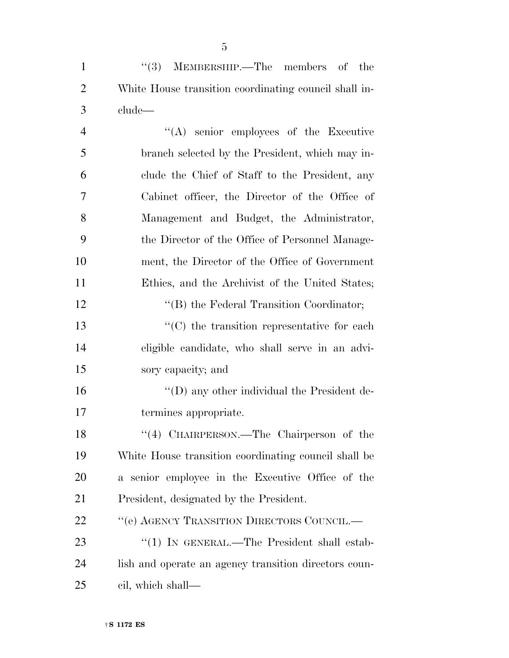1 ''(3) MEMBERSHIP.—The members of the White House transition coordinating council shall in-clude—

 ''(A) senior employees of the Executive branch selected by the President, which may in- clude the Chief of Staff to the President, any Cabinet officer, the Director of the Office of Management and Budget, the Administrator, the Director of the Office of Personnel Manage- ment, the Director of the Office of Government Ethics, and the Archivist of the United States; 12 "(B) the Federal Transition Coordinator;  $\cdot$  (C) the transition representative for each eligible candidate, who shall serve in an advi- sory capacity; and ''(D) any other individual the President de- termines appropriate. 18 "(4) CHAIRPERSON.—The Chairperson of the White House transition coordinating council shall be a senior employee in the Executive Office of the President, designated by the President. 22 "'(e) AGENCY TRANSITION DIRECTORS COUNCIL.— 23 "(1) IN GENERAL.—The President shall estab- lish and operate an agency transition directors coun-cil, which shall—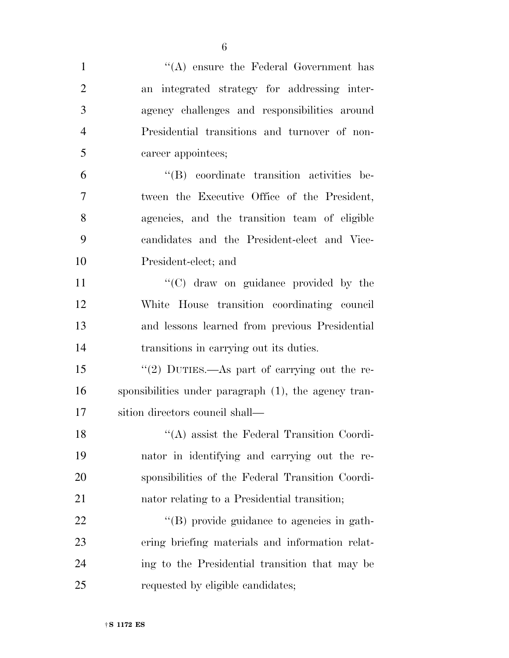| $\mathbf{1}$   | "(A) ensure the Federal Government has               |
|----------------|------------------------------------------------------|
| $\overline{2}$ | an integrated strategy for addressing inter-         |
| 3              | agency challenges and responsibilities around        |
| $\overline{4}$ | Presidential transitions and turnover of non-        |
| 5              | career appointees;                                   |
| 6              | "(B) coordinate transition activities be-            |
| $\overline{7}$ | tween the Executive Office of the President,         |
| 8              | agencies, and the transition team of eligible        |
| 9              | candidates and the President-elect and Vice-         |
| 10             | President-elect; and                                 |
| 11             | "(C) draw on guidance provided by the                |
| 12             | White House transition coordinating council          |
| 13             | and lessons learned from previous Presidential       |
| 14             | transitions in carrying out its duties.              |
| 15             | "(2) DUTIES.—As part of carrying out the re-         |
| 16             | sponsibilities under paragraph (1), the agency tran- |
| 17             | sition directors council shall—                      |
| 18             | "(A) assist the Federal Transition Coordi-           |
| 19             | nator in identifying and carrying out the re-        |
| 20             | sponsibilities of the Federal Transition Coordi-     |
| 21             | nator relating to a Presidential transition;         |
| 22             | "(B) provide guidance to agencies in gath-           |
| 23             | ering briefing materials and information relat-      |
| 24             | ing to the Presidential transition that may be       |
| 25             | requested by eligible candidates;                    |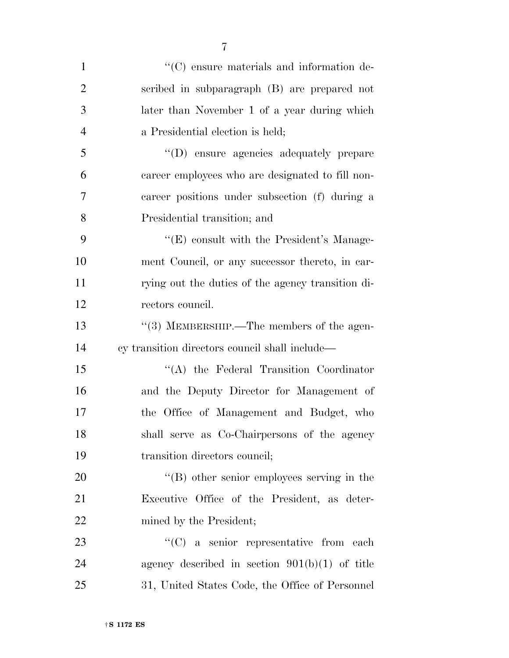| $\mathbf{1}$   | $\lq\lq$ (C) ensure materials and information de- |
|----------------|---------------------------------------------------|
| $\overline{2}$ | scribed in subparagraph (B) are prepared not      |
| 3              | later than November 1 of a year during which      |
| 4              | a Presidential election is held;                  |
| 5              | "(D) ensure agencies adequately prepare           |
| 6              | career employees who are designated to fill non-  |
| 7              | career positions under subsection (f) during a    |
| 8              | Presidential transition; and                      |
| 9              | "(E) consult with the President's Manage-         |
| 10             | ment Council, or any successor thereto, in car-   |
| 11             | rying out the duties of the agency transition di- |
| 12             | rectors council.                                  |
| 13             | "(3) MEMBERSHIP.—The members of the agen-         |
| 14             | cy transition directors council shall include—    |
| 15             | "(A) the Federal Transition Coordinator           |
| 16             | and the Deputy Director for Management of         |
| 17             | the Office of Management and Budget, who          |
| 18             | shall serve as Co-Chairpersons of the agency      |
| 19             | transition directors council;                     |
| 20             | "(B) other senior employees serving in the        |
| 21             | Executive Office of the President, as deter-      |
| 22             | mined by the President;                           |
| 23             | $\lq\lq$ (C) a senior representative from each    |
| 24             | agency described in section $901(b)(1)$ of title  |
| 25             | 31, United States Code, the Office of Personnel   |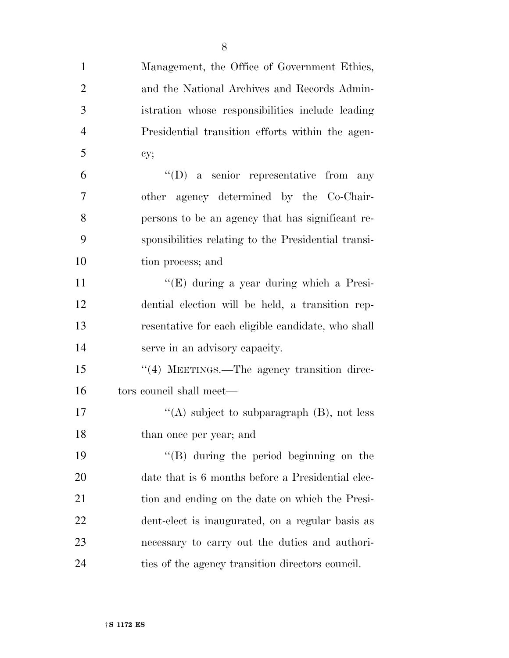| $\mathbf{1}$   | Management, the Office of Government Ethics,        |
|----------------|-----------------------------------------------------|
| $\overline{2}$ | and the National Archives and Records Admin-        |
| 3              | istration whose responsibilities include leading    |
| $\overline{4}$ | Presidential transition efforts within the agen-    |
| 5              | cy;                                                 |
| 6              | $\lq\lq$ (D) a senior representative from any       |
| 7              | other agency determined by the Co-Chair-            |
| 8              | persons to be an agency that has significant re-    |
| 9              | sponsibilities relating to the Presidential transi- |
| 10             | tion process; and                                   |
| 11             | " $(E)$ during a year during which a Presi-         |
| 12             | dential election will be held, a transition rep-    |
| 13             | resentative for each eligible candidate, who shall  |
| 14             | serve in an advisory capacity.                      |
| 15             | "(4) MEETINGS.—The agency transition direc-         |
| 16             | tors council shall meet—                            |
| 17             | "(A) subject to subparagraph $(B)$ , not less       |
| 18             | than once per year; and                             |
| 19             | "(B) during the period beginning on the             |
| 20             | date that is 6 months before a Presidential elec-   |
| 21             | tion and ending on the date on which the Presi-     |
| 22             | dent-elect is inaugurated, on a regular basis as    |
| 23             | necessary to carry out the duties and authori-      |
| 24             | ties of the agency transition directors council.    |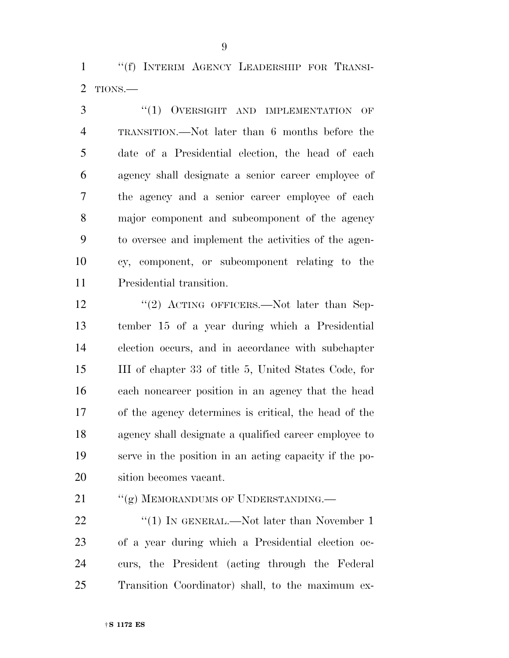''(f) INTERIM AGENCY LEADERSHIP FOR TRANSI-TIONS.—

3 "(1) OVERSIGHT AND IMPLEMENTATION OF TRANSITION.—Not later than 6 months before the date of a Presidential election, the head of each agency shall designate a senior career employee of the agency and a senior career employee of each major component and subcomponent of the agency to oversee and implement the activities of the agen- cy, component, or subcomponent relating to the Presidential transition.

12 "(2) ACTING OFFICERS.—Not later than Sep- tember 15 of a year during which a Presidential election occurs, and in accordance with subchapter III of chapter 33 of title 5, United States Code, for each noncareer position in an agency that the head of the agency determines is critical, the head of the agency shall designate a qualified career employee to serve in the position in an acting capacity if the po-sition becomes vacant.

21 ""(g) MEMORANDUMS OF UNDERSTANDING.—

22 "(1) IN GENERAL.—Not later than November 1 of a year during which a Presidential election oc- curs, the President (acting through the Federal Transition Coordinator) shall, to the maximum ex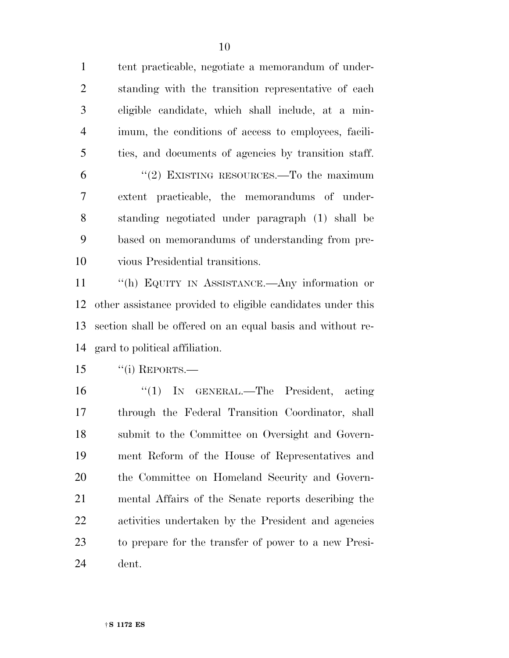tent practicable, negotiate a memorandum of under- standing with the transition representative of each eligible candidate, which shall include, at a min- imum, the conditions of access to employees, facili-ties, and documents of agencies by transition staff.

 ''(2) EXISTING RESOURCES.—To the maximum extent practicable, the memorandums of under- standing negotiated under paragraph (1) shall be based on memorandums of understanding from pre-vious Presidential transitions.

 ''(h) EQUITY IN ASSISTANCE.—Any information or other assistance provided to eligible candidates under this section shall be offered on an equal basis and without re-gard to political affiliation.

"(i) REPORTS.—

 ''(1) IN GENERAL.—The President, acting through the Federal Transition Coordinator, shall submit to the Committee on Oversight and Govern- ment Reform of the House of Representatives and the Committee on Homeland Security and Govern- mental Affairs of the Senate reports describing the activities undertaken by the President and agencies to prepare for the transfer of power to a new Presi-dent.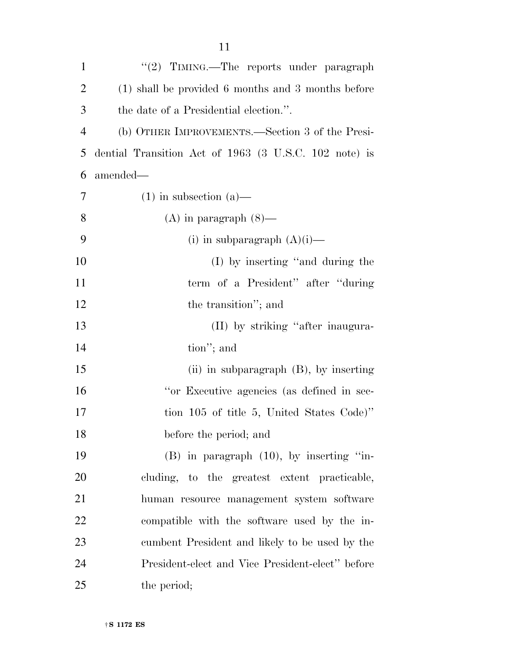| $\mathbf{1}$   | "(2) TIMING.—The reports under paragraph              |
|----------------|-------------------------------------------------------|
| $\overline{2}$ | (1) shall be provided 6 months and 3 months before    |
| 3              | the date of a Presidential election.".                |
| $\overline{4}$ | (b) OTHER IMPROVEMENTS.—Section 3 of the Presi-       |
| 5              | dential Transition Act of 1963 (3 U.S.C. 102 note) is |
| 6              | amended—                                              |
| 7              | $(1)$ in subsection $(a)$ —                           |
| 8              | $(A)$ in paragraph $(8)$ —                            |
| 9              | (i) in subparagraph $(A)(i)$ —                        |
| 10             | (I) by inserting "and during the                      |
| 11             | term of a President" after "during"                   |
| 12             | the transition"; and                                  |
| 13             | (II) by striking "after inaugura-                     |
| 14             | tion"; and                                            |
| 15             | (ii) in subparagraph $(B)$ , by inserting             |
| 16             | "or Executive agencies (as defined in sec-            |
| 17             | tion 105 of title 5, United States Code)"             |
| 18             | before the period; and                                |
| 19             | $(B)$ in paragraph $(10)$ , by inserting "in-         |
| 20             | cluding, to the greatest extent practicable,          |
| 21             | human resource management system software             |
| 22             | compatible with the software used by the in-          |
| 23             | cumbent President and likely to be used by the        |
| 24             | President-elect and Vice President-elect" before      |
| 25             | the period;                                           |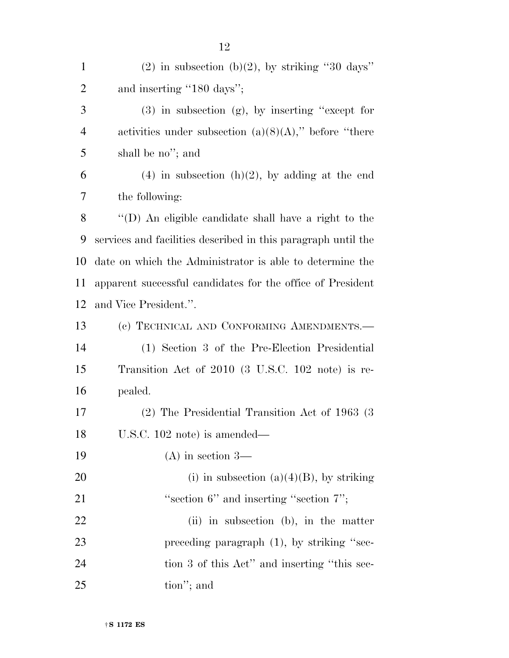| $\mathbf{1}$   | $(2)$ in subsection (b) $(2)$ , by striking "30 days"         |
|----------------|---------------------------------------------------------------|
| $\overline{2}$ | and inserting "180 days";                                     |
| 3              | $(3)$ in subsection $(g)$ , by inserting "except for          |
| $\overline{4}$ | activities under subsection $(a)(8)(A)$ ," before "there"     |
| 5              | shall be no"; and                                             |
| 6              | $(4)$ in subsection $(h)(2)$ , by adding at the end           |
| 7              | the following:                                                |
| 8              | "(D) An eligible candidate shall have a right to the          |
| 9              | services and facilities described in this paragraph until the |
| 10             | date on which the Administrator is able to determine the      |
| 11             | apparent successful candidates for the office of President    |
| 12             | and Vice President.".                                         |
| 13             | (c) TECHNICAL AND CONFORMING AMENDMENTS.-                     |
| 14             | (1) Section 3 of the Pre-Election Presidential                |
| 15             | Transition Act of 2010 (3 U.S.C. 102 note) is re-             |
| 16             | pealed.                                                       |
| 17             | $(2)$ The Presidential Transition Act of 1963 (3)             |
| 18             | U.S.C. 102 note) is amended—                                  |
| 19             | $(A)$ in section 3—                                           |
| 20             | (i) in subsection $(a)(4)(B)$ , by striking                   |
| 21             | "section $6$ " and inserting "section $7$ ";                  |
| 22             | (ii) in subsection (b), in the matter                         |
| 23             | preceding paragraph $(1)$ , by striking "sec-                 |
| 24             | tion 3 of this Act" and inserting "this sec-                  |
| 25             | tion"; and                                                    |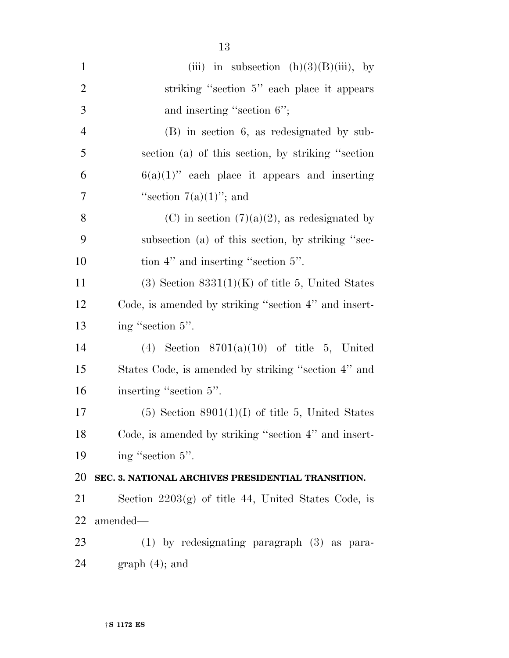| $\mathbf{1}$   | (iii) in subsection $(h)(3)(B)(iii)$ , by             |
|----------------|-------------------------------------------------------|
| $\overline{2}$ | striking "section 5" each place it appears            |
| 3              | and inserting "section 6";                            |
| $\overline{4}$ | $(B)$ in section 6, as redesignated by sub-           |
| 5              | section (a) of this section, by striking "section     |
| 6              | $6(a)(1)$ " each place it appears and inserting       |
| 7              | "section $7(a)(1)$ "; and                             |
| 8              | (C) in section $(7)(a)(2)$ , as redesignated by       |
| 9              | subsection (a) of this section, by striking "sec-     |
| 10             | tion 4" and inserting "section 5".                    |
| 11             | $(3)$ Section $8331(1)(K)$ of title 5, United States  |
| 12             | Code, is amended by striking "section 4" and insert-  |
| 13             | ing "section 5".                                      |
| 14             | (4) Section $8701(a)(10)$ of title 5, United          |
| 15             | States Code, is amended by striking "section 4" and   |
| 16             | inserting "section 5".                                |
| 17             | $(5)$ Section 8901(1)(I) of title 5, United States    |
| 18             | Code, is amended by striking "section 4" and insert-  |
| 19             | ing "section 5".                                      |
| 20             | SEC. 3. NATIONAL ARCHIVES PRESIDENTIAL TRANSITION.    |
| 21             | Section $2203(g)$ of title 44, United States Code, is |
| 22             | amended—                                              |
| 23             | $(1)$ by redesignating paragraph $(3)$ as para-       |
| 24             | $graph(4)$ ; and                                      |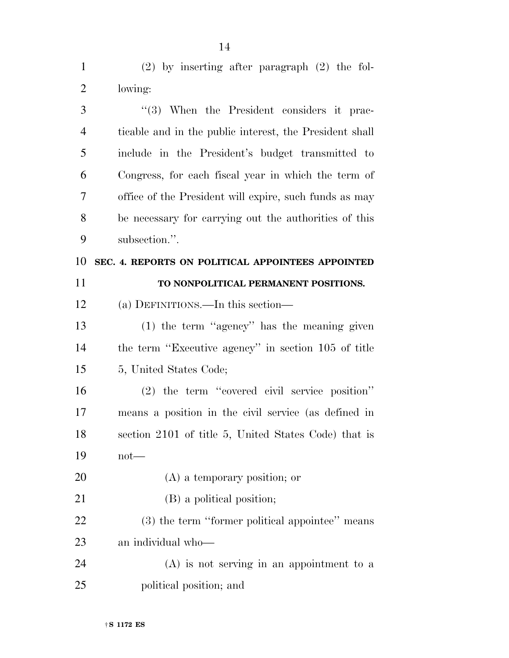(2) by inserting after paragraph (2) the fol- lowing: 3 ''(3) When the President considers it prac- ticable and in the public interest, the President shall include in the President's budget transmitted to Congress, for each fiscal year in which the term of office of the President will expire, such funds as may be necessary for carrying out the authorities of this subsection.''. **SEC. 4. REPORTS ON POLITICAL APPOINTEES APPOINTED TO NONPOLITICAL PERMANENT POSITIONS.**  (a) DEFINITIONS.—In this section— (1) the term ''agency'' has the meaning given the term ''Executive agency'' in section 105 of title

15 5, United States Code;

 (2) the term ''covered civil service position'' means a position in the civil service (as defined in section 2101 of title 5, United States Code) that is not—

- (A) a temporary position; or
- (B) a political position;

 (3) the term ''former political appointee'' means an individual who—

 (A) is not serving in an appointment to a political position; and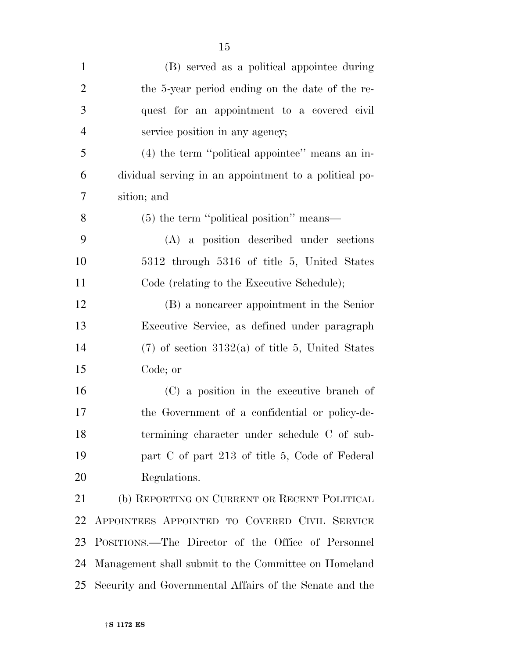| $\mathbf{1}$   | (B) served as a political appointee during            |
|----------------|-------------------------------------------------------|
| $\overline{2}$ | the 5-year period ending on the date of the re-       |
| 3              | quest for an appointment to a covered civil           |
| $\overline{4}$ | service position in any agency;                       |
| 5              | $(4)$ the term "political appointee" means an in-     |
| 6              | dividual serving in an appointment to a political po- |
| 7              | sition; and                                           |
| 8              | $(5)$ the term "political position" means—            |
| 9              | (A) a position described under sections               |
| 10             | 5312 through 5316 of title 5, United States           |
| 11             | Code (relating to the Executive Schedule);            |
| 12             | (B) a noncareer appointment in the Senior             |
| 13             | Executive Service, as defined under paragraph         |
| 14             | $(7)$ of section 3132(a) of title 5, United States    |
| 15             | Code; or                                              |
| 16             | (C) a position in the executive branch of             |
| 17             | the Government of a confidential or policy-de-        |
| 18             | termining character under schedule C of sub-          |
| 19             | part C of part 213 of title 5, Code of Federal        |
| 20             | Regulations.                                          |
| 21             | (b) REPORTING ON CURRENT OR RECENT POLITICAL          |
| 22             | APPOINTEES APPOINTED TO COVERED CIVIL SERVICE         |
| 23             | POSITIONS.—The Director of the Office of Personnel    |
| 24             | Management shall submit to the Committee on Homeland  |

Security and Governmental Affairs of the Senate and the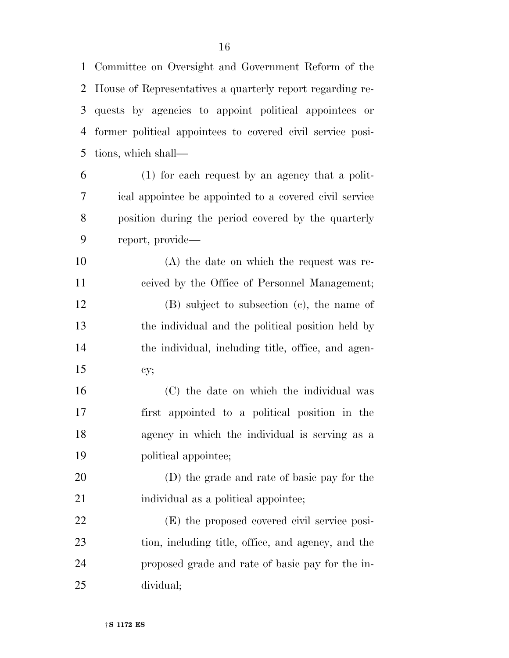Committee on Oversight and Government Reform of the House of Representatives a quarterly report regarding re- quests by agencies to appoint political appointees or former political appointees to covered civil service posi-tions, which shall—

 (1) for each request by an agency that a polit- ical appointee be appointed to a covered civil service position during the period covered by the quarterly report, provide—

 (A) the date on which the request was re-ceived by the Office of Personnel Management;

 (B) subject to subsection (c), the name of the individual and the political position held by the individual, including title, office, and agen-cy;

 (C) the date on which the individual was first appointed to a political position in the agency in which the individual is serving as a political appointee;

 (D) the grade and rate of basic pay for the 21 individual as a political appointee;

 (E) the proposed covered civil service posi- tion, including title, office, and agency, and the proposed grade and rate of basic pay for the in-dividual;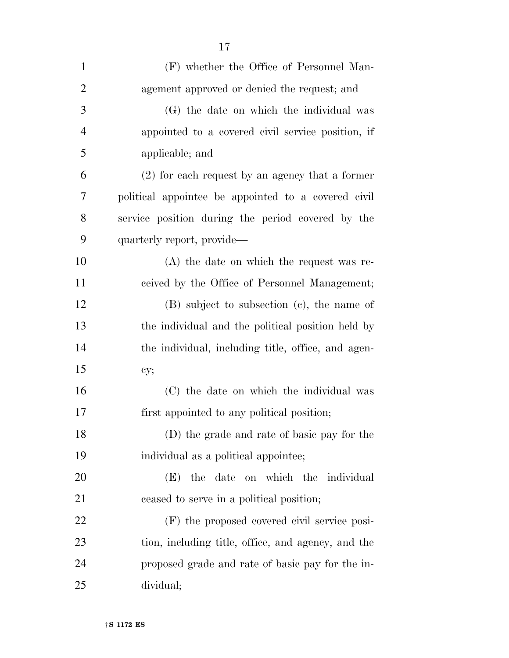| $\mathbf{1}$   | (F) whether the Office of Personnel Man-            |
|----------------|-----------------------------------------------------|
| $\overline{2}$ | agement approved or denied the request; and         |
| 3              | (G) the date on which the individual was            |
| $\overline{4}$ | appointed to a covered civil service position, if   |
| 5              | applicable; and                                     |
| 6              | $(2)$ for each request by an agency that a former   |
| 7              | political appointee be appointed to a covered civil |
| 8              | service position during the period covered by the   |
| 9              | quarterly report, provide—                          |
| 10             | $(A)$ the date on which the request was re-         |
| 11             | ceived by the Office of Personnel Management;       |
| 12             | (B) subject to subsection (c), the name of          |
| 13             | the individual and the political position held by   |
| 14             | the individual, including title, office, and agen-  |
| 15             | cy;                                                 |
| 16             | (C) the date on which the individual was            |
| 17             | first appointed to any political position;          |
| 18             | (D) the grade and rate of basic pay for the         |
| 19             | individual as a political appointee;                |
| 20             | date<br>on which the individual<br>(E)<br>the       |
| 21             | ceased to serve in a political position;            |
| 22             | (F) the proposed covered civil service posi-        |
| 23             | tion, including title, office, and agency, and the  |
| 24             | proposed grade and rate of basic pay for the in-    |
| 25             | dividual;                                           |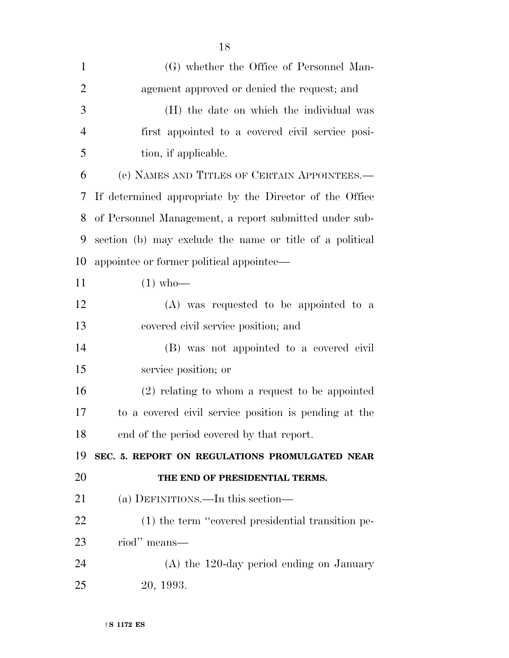| $\mathbf{1}$   | (G) whether the Office of Personnel Man-                 |
|----------------|----------------------------------------------------------|
| $\overline{2}$ | agement approved or denied the request; and              |
| 3              | (H) the date on which the individual was                 |
| $\overline{4}$ | first appointed to a covered civil service posi-         |
| 5              | tion, if applicable.                                     |
| 6              | (c) NAMES AND TITLES OF CERTAIN APPOINTEES.-             |
| 7              | If determined appropriate by the Director of the Office  |
| 8              | of Personnel Management, a report submitted under sub-   |
| 9              | section (b) may exclude the name or title of a political |
| 10             | appointee or former political appointee—                 |
| 11             | $(1)$ who-                                               |
| 12             | $(A)$ was requested to be appointed to a                 |
| 13             | covered civil service position; and                      |
| 14             | (B) was not appointed to a covered civil                 |
| 15             | service position; or                                     |
| 16             | $(2)$ relating to whom a request to be appointed         |
| 17             | to a covered civil service position is pending at the    |
| 18             | end of the period covered by that report.                |
| 19             | SEC. 5. REPORT ON REGULATIONS PROMULGATED NEAR           |
| 20             | THE END OF PRESIDENTIAL TERMS.                           |
| 21             | (a) DEFINITIONS.—In this section—                        |
| 22             | (1) the term "covered presidential transition pe-        |
| 23             | riod" means—                                             |
| 24             | $(A)$ the 120-day period ending on January               |
| 25             | 20, 1993.                                                |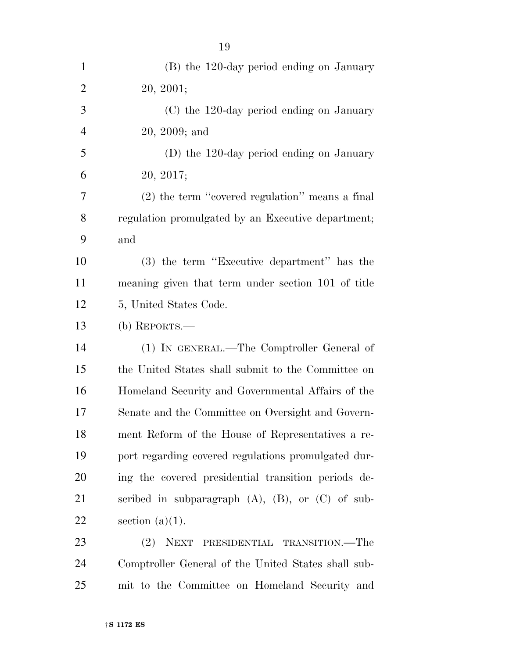| $\mathbf{1}$   | (B) the 120-day period ending on January                 |
|----------------|----------------------------------------------------------|
| $\overline{2}$ | 20, 2001;                                                |
| 3              | (C) the 120-day period ending on January                 |
| $\overline{4}$ | 20, 2009; and                                            |
| 5              | (D) the 120-day period ending on January                 |
| 6              | 20, 2017;                                                |
| 7              | (2) the term "covered regulation" means a final          |
| 8              | regulation promulgated by an Executive department;       |
| 9              | and                                                      |
| 10             | (3) the term "Executive department" has the              |
| 11             | meaning given that term under section 101 of title       |
| 12             | 5, United States Code.                                   |
| 13             | $(b)$ REPORTS.—                                          |
| 14             | (1) IN GENERAL.—The Comptroller General of               |
| 15             | the United States shall submit to the Committee on       |
| 16             | Homeland Security and Governmental Affairs of the        |
| 17             | Senate and the Committee on Oversight and Govern-        |
| 18             | ment Reform of the House of Representatives a re-        |
| 19             | port regarding covered regulations promulgated dur-      |
| 20             | ing the covered presidential transition periods de-      |
| 21             | scribed in subparagraph $(A)$ , $(B)$ , or $(C)$ of sub- |
| 22             | section $(a)(1)$ .                                       |
| 23             | (2)<br>NEXT<br>PRESIDENTIAL TRANSITION.—The              |
| 24             | Comptroller General of the United States shall sub-      |
| 25             | mit to the Committee on Homeland Security and            |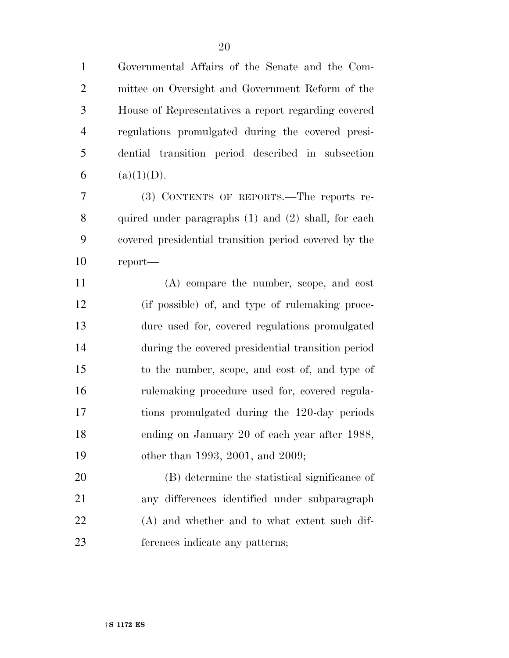Governmental Affairs of the Senate and the Com- mittee on Oversight and Government Reform of the House of Representatives a report regarding covered regulations promulgated during the covered presi- dential transition period described in subsection 6 (a)(1)(D).

 (3) CONTENTS OF REPORTS.—The reports re- quired under paragraphs (1) and (2) shall, for each covered presidential transition period covered by the report—

 (A) compare the number, scope, and cost (if possible) of, and type of rulemaking proce- dure used for, covered regulations promulgated during the covered presidential transition period to the number, scope, and cost of, and type of rulemaking procedure used for, covered regula- tions promulgated during the 120-day periods ending on January 20 of each year after 1988, 19 other than 1993, 2001, and 2009;

 (B) determine the statistical significance of any differences identified under subparagraph (A) and whether and to what extent such dif-ferences indicate any patterns;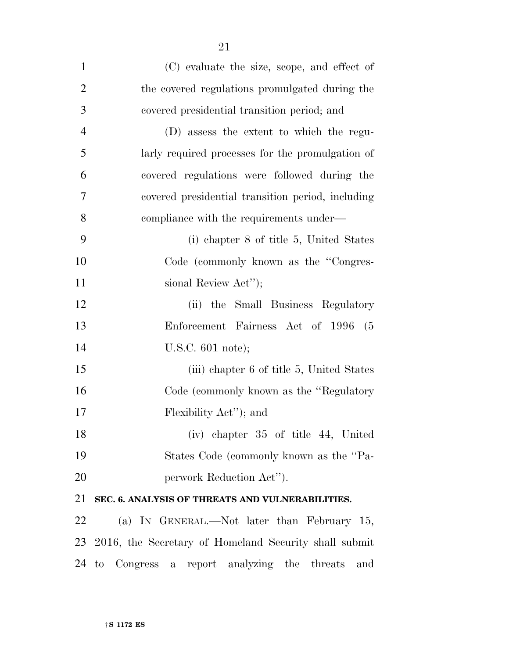| $\mathbf{1}$   | (C) evaluate the size, scope, and effect of           |
|----------------|-------------------------------------------------------|
| $\overline{2}$ | the covered regulations promulgated during the        |
| 3              | covered presidential transition period; and           |
| $\overline{4}$ | (D) assess the extent to which the regu-              |
| 5              | larly required processes for the promulgation of      |
| 6              | covered regulations were followed during the          |
| 7              | covered presidential transition period, including     |
| 8              | compliance with the requirements under—               |
| 9              | (i) chapter 8 of title 5, United States               |
| 10             | Code (commonly known as the "Congres-                 |
| 11             | sional Review Act");                                  |
| 12             | (ii) the Small Business Regulatory                    |
| 13             | Enforcement Fairness Act of 1996 (5                   |
| 14             | U.S.C. $601$ note);                                   |
| 15             | (iii) chapter 6 of title 5, United States             |
| 16             | Code (commonly known as the "Regulatory"              |
| 17             | Flexibility Act''); and                               |
| 18             | (iv) chapter 35 of title 44, United                   |
| 19             | States Code (commonly known as the "Pa-               |
| 20             | perwork Reduction Act'').                             |
| 21             | SEC. 6. ANALYSIS OF THREATS AND VULNERABILITIES.      |
| 22             | (a) IN GENERAL.—Not later than February 15,           |
| 23             | 2016, the Secretary of Homeland Security shall submit |
| 24             | to Congress a report analyzing the threats<br>and     |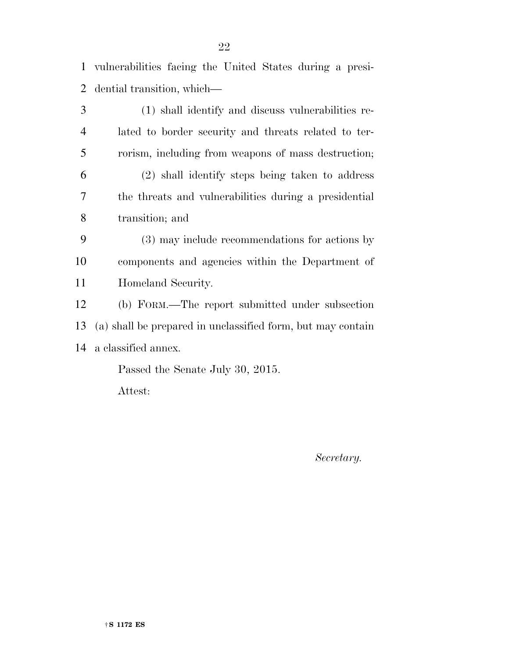vulnerabilities facing the United States during a presi-dential transition, which—

 (1) shall identify and discuss vulnerabilities re- lated to border security and threats related to ter- rorism, including from weapons of mass destruction; (2) shall identify steps being taken to address the threats and vulnerabilities during a presidential transition; and (3) may include recommendations for actions by components and agencies within the Department of Homeland Security. (b) FORM.—The report submitted under subsection (a) shall be prepared in unclassified form, but may contain a classified annex. Passed the Senate July 30, 2015.

Attest:

*Secretary.*